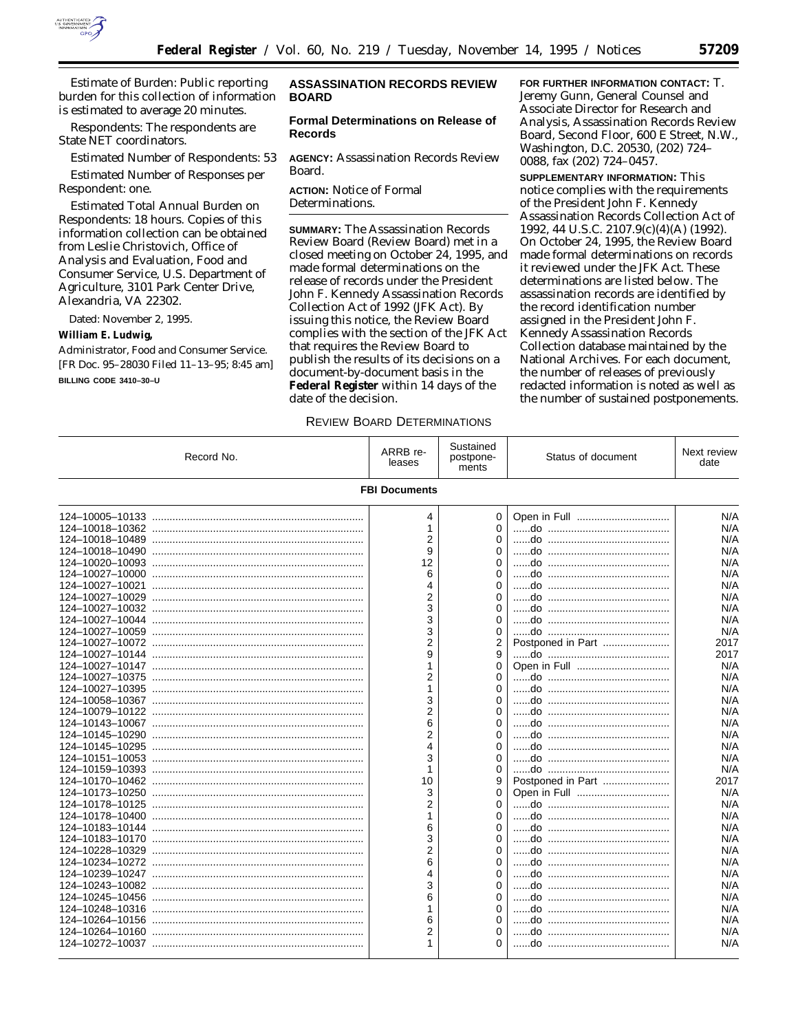

*Estimate of Burden:* Public reporting burden for this collection of information is estimated to average 20 minutes.

*Respondents:* The respondents are State NET coordinators.

*Estimated Number of Respondents:* 53

*Estimated Number of Responses per Respondent:* one.

*Estimated Total Annual Burden on Respondents:* 18 hours. Copies of this information collection can be obtained from Leslie Christovich, Office of Analysis and Evaluation, Food and Consumer Service, U.S. Department of Agriculture, 3101 Park Center Drive, Alexandria, VA 22302.

Dated: November 2, 1995.

### **William E. Ludwig,**

*Administrator, Food and Consumer Service.* [FR Doc. 95–28030 Filed 11–13–95; 8:45 am]

### **BILLING CODE 3410–30–U**

## **ASSASSINATION RECORDS REVIEW BOARD**

## **Formal Determinations on Release of Records**

**AGENCY:** Assassination Records Review Board.

**ACTION:** Notice of Formal Determinations.

**SUMMARY:** The Assassination Records Review Board (Review Board) met in a closed meeting on October 24, 1995, and made formal determinations on the release of records under the President John F. Kennedy Assassination Records Collection Act of 1992 (JFK Act). By issuing this notice, the Review Board complies with the section of the JFK Act that requires the Review Board to publish the results of its decisions on a document-by-document basis in the **Federal Register** within 14 days of the date of the decision.

#### REVIEW BOARD DETERMINATIONS

**FOR FURTHER INFORMATION CONTACT:** T. Jeremy Gunn, General Counsel and Associate Director for Research and Analysis, Assassination Records Review Board, Second Floor, 600 E Street, N.W., Washington, D.C. 20530, (202) 724– 0088, fax (202) 724–0457.

**SUPPLEMENTARY INFORMATION:** This notice complies with the requirements of the President John F. Kennedy Assassination Records Collection Act of 1992, 44 U.S.C. 2107.9(c)(4)(A) (1992). On October 24, 1995, the Review Board made formal determinations on records it reviewed under the JFK Act. These determinations are listed below. The assassination records are identified by the record identification number assigned in the President John F. Kennedy Assassination Records Collection database maintained by the National Archives. For each document, the number of releases of previously redacted information is noted as well as the number of sustained postponements.

| Record No.      | ARRB re-<br>leases   | Sustained<br>postpone-<br>ments | Status of document | Next review<br>date |
|-----------------|----------------------|---------------------------------|--------------------|---------------------|
|                 | <b>FBI Documents</b> |                                 |                    |                     |
|                 | 4                    | 0                               |                    | N/A                 |
|                 | $\mathbf{1}$         | $\Omega$                        |                    | N/A                 |
|                 | 2                    | $\Omega$                        |                    | N/A                 |
|                 | 9                    | $\Omega$                        |                    | N/A                 |
|                 | 12                   | $\Omega$                        |                    | N/A                 |
|                 | 6                    | $\Omega$                        |                    | N/A                 |
|                 | 4                    | $\Omega$                        |                    | N/A                 |
|                 | $\overline{2}$       | $\Omega$                        |                    | N/A                 |
|                 | 3                    | $\Omega$                        |                    | N/A                 |
|                 | 3                    | $\Omega$                        |                    | N/A                 |
|                 | 3                    | $\Omega$                        |                    | N/A                 |
|                 | 2                    | 2                               | Postponed in Part  | 2017                |
|                 | 9                    | 9                               |                    | 2017                |
|                 | 1                    | $\Omega$                        |                    | N/A                 |
|                 | 2                    | $\Omega$                        |                    | N/A                 |
|                 | 1                    | $\Omega$                        |                    | N/A                 |
|                 | 3                    | $\Omega$                        |                    | N/A                 |
|                 | 2                    | $\Omega$                        |                    | N/A                 |
|                 | 6                    | $\Omega$                        |                    | N/A                 |
|                 | 2                    | $\Omega$                        |                    | N/A                 |
|                 | 4                    | $\Omega$                        |                    | N/A                 |
|                 | 3                    | $\Omega$                        |                    | N/A                 |
|                 | 1                    | 0                               |                    | N/A                 |
|                 | 10                   | 9                               | Postponed in Part  | 2017                |
|                 | 3                    | $\Omega$                        |                    | N/A                 |
|                 | 2                    | $\Omega$                        |                    | N/A                 |
|                 | 1                    | $\Omega$                        |                    | N/A                 |
|                 | 6                    | $\Omega$                        |                    | N/A                 |
|                 | 3                    | $\Omega$                        |                    | N/A                 |
|                 | 2                    | $\Omega$                        |                    | N/A                 |
|                 | 6                    | $\Omega$                        |                    | N/A                 |
|                 | 4                    | $\Omega$                        |                    | N/A                 |
|                 | 3                    | $\Omega$                        |                    | N/A                 |
|                 | 6                    | $\Omega$                        |                    | N/A                 |
| 124-10248-10316 | 1                    | $\Omega$                        |                    | N/A                 |
|                 | 6                    | $\Omega$                        |                    | N/A                 |
|                 | 2                    | $\Omega$                        |                    | N/A                 |
|                 | 1                    | 0                               |                    | N/A                 |
|                 |                      |                                 |                    |                     |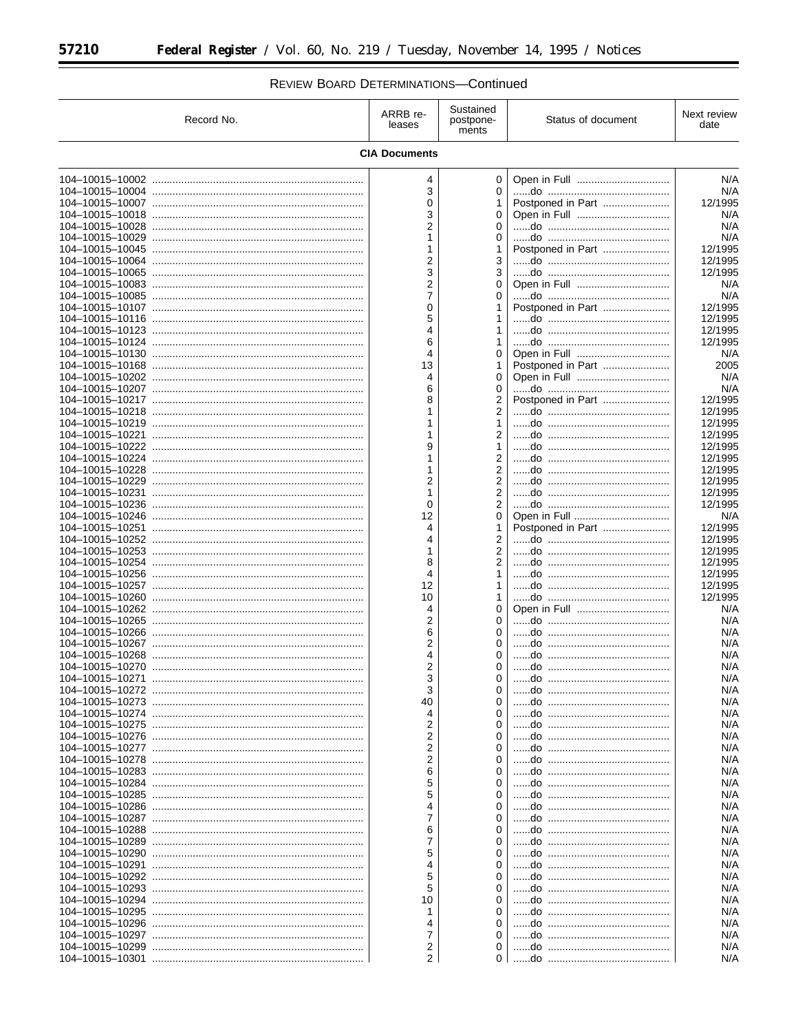$\equiv$ 

# REVIEW BOARD DETERMINATIONS-Continued

 $\equiv$ 

| Record No. | ARRB re-<br>leases   | Sustained<br>postpone-<br>ments  | Status of document | Next review<br>date |
|------------|----------------------|----------------------------------|--------------------|---------------------|
|            | <b>CIA Documents</b> |                                  |                    |                     |
|            | 4<br>3               | 0<br>0                           |                    | N/A<br>N/A          |
|            | $\Omega$             | 1                                | Postponed in Part  | 12/1995             |
|            | 3<br>2               | 0<br>0                           |                    | N/A<br>N/A          |
|            | 1                    | 0                                |                    | N/A                 |
|            | 1                    | 1                                | Postponed in Part  | 12/1995             |
|            | 2                    | 3                                |                    | 12/1995             |
|            | 3<br>2               | 3<br>0                           |                    | 12/1995<br>N/A      |
|            | 7                    | 0                                |                    | N/A                 |
|            | 0                    |                                  | Postponed in Part  | 12/1995             |
|            | 5                    | 1                                |                    | 12/1995             |
|            | 4                    |                                  |                    | 12/1995             |
|            | 6<br>4               | 1<br>0                           |                    | 12/1995<br>N/A      |
|            | 13                   | 1                                | Postponed in Part  | 2005                |
|            | 4                    | 0                                |                    | N/A                 |
|            | 6                    | 0                                |                    | N/A                 |
|            | 8<br>1               | 2<br>2                           | Postponed in Part  | 12/1995<br>12/1995  |
|            | 1                    | 1                                |                    | 12/1995             |
|            | 1                    | 2                                |                    | 12/1995             |
|            | 9                    | 1                                |                    | 12/1995             |
|            | 1                    | $\overline{2}$                   |                    | 12/1995             |
|            | 1<br>2               | $\overline{2}$<br>$\overline{2}$ |                    | 12/1995<br>12/1995  |
|            | 1                    | $\overline{2}$                   |                    | 12/1995             |
|            | 0                    | 2                                |                    | 12/1995             |
|            | 12                   | 0                                |                    | N/A                 |
|            | 4                    | 1                                | Postponed in Part  | 12/1995             |
|            | 4<br>1               | 2<br>$\overline{2}$              |                    | 12/1995<br>12/1995  |
|            | 8                    | $\overline{2}$                   |                    | 12/1995             |
|            | 4                    | 1                                |                    | 12/1995             |
|            | 12                   | 1                                |                    | 12/1995             |
|            | 10<br>4              | 1<br>0                           |                    | 12/1995<br>N/A      |
|            | 2                    | 0                                |                    | N/A                 |
|            | 6                    | 0                                |                    | N/A                 |
|            | 2                    | 0                                |                    | N/A                 |
|            | 4<br>2               | 0<br>0                           |                    | N/A<br>N/A          |
|            | 3                    | 0                                |                    | N/A                 |
|            | 3                    | 0                                |                    | N/A                 |
|            | 40                   | 0                                |                    | N/A                 |
|            | 4<br>2               | 0<br>0                           |                    | N/A                 |
|            | 2                    | $\Omega$                         |                    | N/A<br>N/A          |
|            | 2                    | 0                                |                    | N/A                 |
|            | 2                    | 0                                |                    | N/A                 |
|            | 6                    | 0                                |                    | N/A                 |
|            | 5<br>5               | 0<br>0                           |                    | N/A<br>N/A          |
|            | 4                    | 0                                |                    | N/A                 |
|            | 7                    | 0                                |                    | N/A                 |
|            | 6                    | 0                                |                    | N/A                 |
|            | 7                    | 0<br>0                           |                    | N/A                 |
|            | 5<br>4               | 0                                |                    | N/A<br>N/A          |
|            | 5                    | 0                                |                    | N/A                 |
|            | 5                    | 0                                |                    | N/A                 |
|            | 10                   | $\Omega$                         |                    | N/A                 |
|            | 1                    | 0                                |                    | N/A                 |
|            | 4<br>7               | 0<br>0                           |                    | N/A<br>N/A          |
|            | 2                    | 0                                |                    | N/A                 |
|            | $\overline{2}$       |                                  |                    | N/A                 |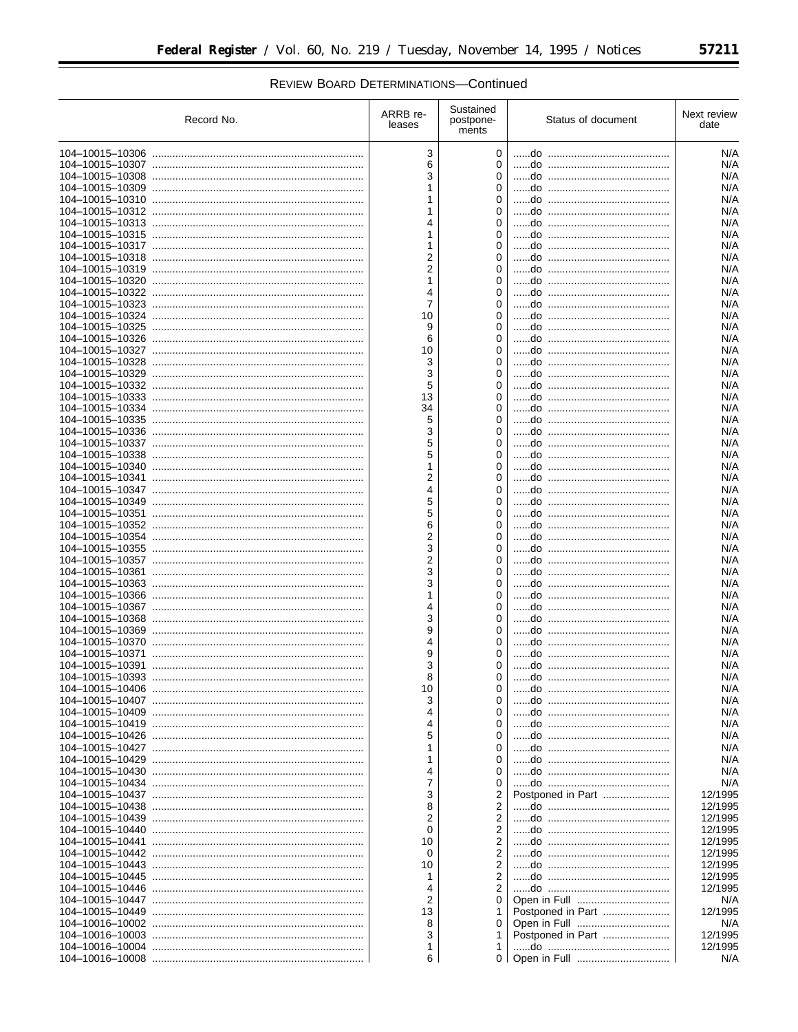| Record No. | ARRB re-<br>leases | Sustained<br>postpone-<br>ments | Status of document | Next review<br>date |
|------------|--------------------|---------------------------------|--------------------|---------------------|
|            | 3                  | 0                               |                    | N/A                 |
|            | 6                  | 0                               |                    | N/A                 |
|            | 3                  | $\Omega$                        |                    | N/A                 |
|            | 1                  | $\Omega$                        |                    | N/A                 |
|            | 1                  | $\Omega$                        |                    | N/A                 |
|            | 1                  | $\Omega$                        |                    | N/A                 |
|            |                    | $\Omega$                        |                    | N/A                 |
|            | $\mathbf{1}$       | $\Omega$                        |                    | N/A                 |
|            | 1                  | $\Omega$                        |                    | N/A                 |
|            | $\overline{2}$     | $\Omega$                        |                    | N/A                 |
|            | $\overline{2}$     | $\Omega$                        |                    | N/A                 |
|            | $\mathbf{1}$       | $\Omega$                        |                    | N/A                 |
|            | 4                  | $\Omega$                        |                    | N/A                 |
|            | $\overline{7}$     | 0                               |                    | N/A                 |
|            | 10                 | $\Omega$                        |                    | N/A                 |
|            | 9                  | $\Omega$                        |                    | N/A                 |
|            | 6                  | $\Omega$                        |                    | N/A                 |
|            | 10                 | 0                               |                    | N/A                 |
|            | 3                  | $\Omega$                        |                    | N/A                 |
|            | 3                  | 0                               |                    | N/A                 |
|            | 5                  | $\Omega$                        |                    | N/A                 |
|            | 13                 | 0                               |                    | N/A                 |
|            | 34                 | $\Omega$                        |                    | N/A<br>N/A          |
|            | 5                  | $\Omega$<br>$\Omega$            |                    |                     |
|            | 3<br>5             | $\Omega$                        |                    | N/A<br>N/A          |
|            | 5                  | $\Omega$                        |                    | N/A                 |
|            | 1                  | $\Omega$                        |                    | N/A                 |
|            | $\overline{2}$     | $\Omega$                        |                    | N/A                 |
|            | 4                  | $\Omega$                        |                    | N/A                 |
|            | 5                  | $\Omega$                        |                    | N/A                 |
|            | 5                  | $\Omega$                        |                    | N/A                 |
|            | 6                  | $\Omega$                        |                    | N/A                 |
|            | $\overline{2}$     | $\Omega$                        |                    | N/A                 |
|            | 3                  | $\Omega$                        |                    | N/A                 |
|            | 2                  | $\Omega$                        |                    | N/A                 |
|            | 3                  | $\Omega$                        |                    | N/A                 |
|            | 3                  | $\Omega$                        |                    | N/A                 |
|            | $\mathbf{1}$       | $\Omega$                        |                    | N/A                 |
|            | 4                  | $\Omega$                        |                    | N/A                 |
|            | 3                  | $\Omega$                        |                    | N/A                 |
|            | 9                  | $\Omega$                        |                    | N/A                 |
|            | 4                  | $\Omega$                        |                    | N/A                 |
|            | 9                  | $\Omega$                        |                    | N/A                 |
|            | 3                  | 0                               |                    | N/A                 |
|            | 8                  | 0                               |                    | N/A                 |
|            | 10                 | 0                               |                    | N/A                 |
|            | 3                  | $\Omega$                        |                    | N/A                 |
|            | 4                  | 0                               |                    | N/A                 |
|            | 4                  | $\Omega$                        |                    | N/A                 |
|            | 5                  | 0                               |                    | N/A                 |
|            | 1                  | 0                               |                    | N/A                 |
|            | 1                  | 0                               |                    | N/A                 |
|            | 4                  | 0                               |                    | N/A                 |
|            | 7<br>3             | 0                               |                    | N/A<br>12/1995      |
|            | 8                  | 2                               | Postponed in Part  | 12/1995             |
|            | $\overline{2}$     | 2<br>2                          |                    | 12/1995             |
|            | 0                  | 2                               |                    | 12/1995             |
|            | 10                 | $\overline{2}$                  |                    | 12/1995             |
|            | 0                  | 2                               |                    | 12/1995             |
|            | 10                 | 2                               |                    | 12/1995             |
|            |                    | 2                               |                    | 12/1995             |
|            | 4                  | 2                               |                    | 12/1995             |
|            | 2                  |                                 |                    | N/A                 |
|            | 13                 | 1                               |                    | 12/1995             |
|            | 8                  | 0                               |                    | N/A                 |
|            | 3                  | 1                               | Postponed in Part  | 12/1995             |
|            | 1                  |                                 |                    | 12/1995             |
|            | 6.                 |                                 |                    | N/A                 |
|            |                    |                                 |                    |                     |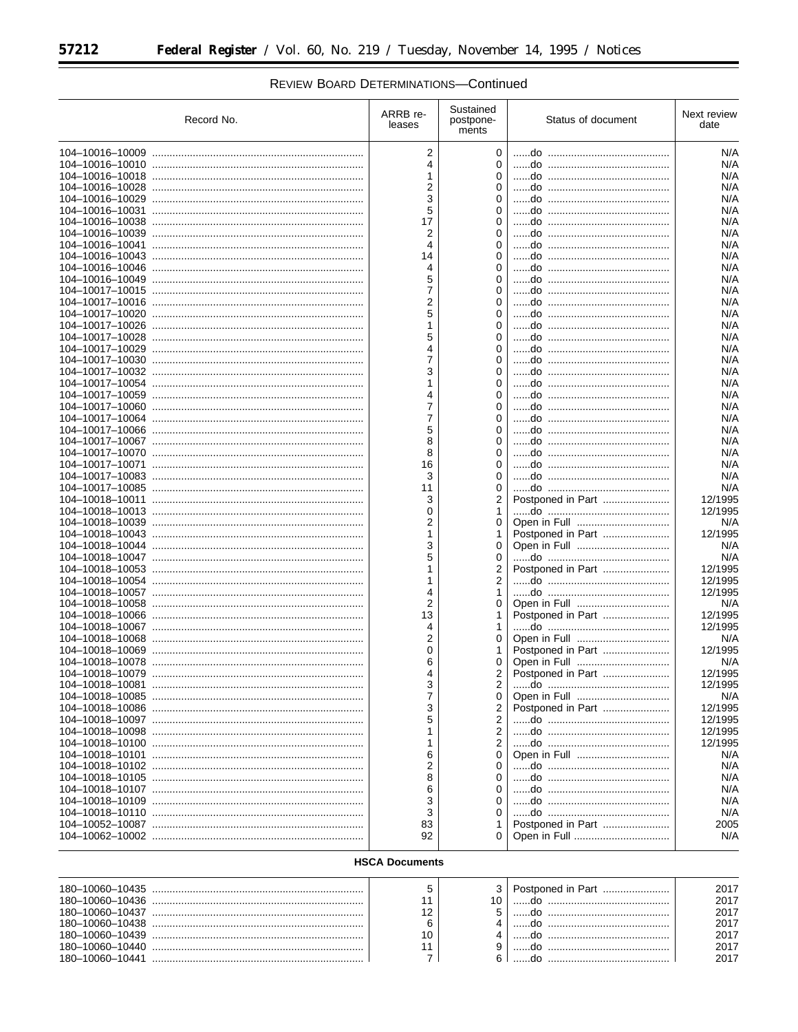۳

| Record No.      | ARRB re-<br>leases | Sustained<br>postpone-<br>ments | Status of document | Next review<br>date |
|-----------------|--------------------|---------------------------------|--------------------|---------------------|
|                 | $\overline{2}$     | 0                               |                    | N/A                 |
|                 | 4                  | 0                               |                    | N/A                 |
|                 | 1                  | $\Omega$                        |                    | N/A                 |
|                 | 2                  | 0                               |                    | N/A                 |
|                 | 3                  | $\Omega$                        |                    | N/A                 |
|                 | 5                  | 0                               |                    | N/A                 |
|                 | 17                 | $\Omega$                        |                    | N/A                 |
|                 | 2                  | $\Omega$                        |                    | N/A                 |
|                 | 4                  | $\Omega$                        |                    | N/A                 |
|                 | 14                 | 0                               |                    | N/A                 |
|                 | 4                  | $\Omega$                        |                    | N/A                 |
|                 | 5                  | $\Omega$                        |                    | N/A                 |
|                 | 7                  | 0                               |                    | N/A                 |
|                 | 2                  | $\Omega$                        |                    | N/A                 |
|                 | 5                  | $\Omega$                        |                    | N/A                 |
|                 | 1                  | $\Omega$                        |                    | N/A                 |
|                 | 5                  | 0                               |                    | N/A                 |
|                 | 4                  | $\Omega$                        |                    | N/A                 |
|                 | 7                  | 0                               |                    | N/A                 |
|                 | 3                  | $\Omega$                        |                    | N/A                 |
|                 | 1                  | 0                               |                    | N/A                 |
|                 | 4                  | $\Omega$                        |                    | N/A                 |
|                 | 7                  | $\Omega$                        |                    | N/A                 |
|                 | 7                  | $\Omega$                        |                    | N/A                 |
|                 | 5                  | $\Omega$                        |                    | N/A                 |
|                 | 8                  | $\Omega$                        |                    | N/A                 |
|                 | 8                  | $\Omega$<br>$\Omega$            |                    | N/A<br>N/A          |
|                 | 16<br>3            |                                 |                    | N/A                 |
|                 |                    | 0                               |                    | N/A                 |
|                 | 11                 | 0                               |                    | 12/1995             |
|                 | 3<br>0             | 2                               |                    | 12/1995             |
|                 | 2                  | 1.<br>0                         |                    | N/A                 |
|                 | 1                  | 1                               | Postponed in Part  | 12/1995             |
|                 | 3                  | 0                               |                    | N/A                 |
|                 | 5                  | 0                               |                    | N/A                 |
|                 | 1                  | 2                               | Postponed in Part  | 12/1995             |
|                 | 1                  | 2                               |                    | 12/1995             |
|                 | 4                  | 1                               |                    | 12/1995             |
|                 | 2                  | 0                               |                    | N/A                 |
|                 | 13                 | 1.                              |                    | 12/1995             |
|                 | 4                  | 1                               |                    | 12/1995             |
|                 | 2                  | 0                               |                    | N/A                 |
|                 | 0                  | 1                               |                    | 12/1995             |
|                 | 6                  | 0                               |                    | N/A                 |
|                 | 4                  | 2                               | Postponed in Part  | 12/1995             |
| 104-10018-10081 | J                  | 2                               |                    | 12/1995             |
|                 | 7                  | 0                               |                    | N/A                 |
|                 | 3                  | 2                               |                    | 12/1995             |
|                 | 5                  | 2                               |                    | 12/1995             |
|                 |                    | 2                               |                    | 12/1995             |
|                 |                    | 2                               |                    | 12/1995             |
|                 | 6                  | 0                               |                    | N/A                 |
|                 | 2                  | 0                               |                    | N/A                 |
|                 | 8                  | 0                               |                    | N/A                 |
|                 | 6                  | 0                               |                    | N/A                 |
|                 | 3                  | 0                               |                    | N/A                 |
|                 | 3                  |                                 |                    | N/A                 |
|                 | 83                 | 1                               | Postponed in Part  | 2005                |
|                 | 92                 | 0                               |                    | N/A                 |
|                 |                    |                                 |                    |                     |

# REVIEW BOARD DETERMINATIONS-Continued

# **HSCA Documents**

|  |  | 2017 |
|--|--|------|
|  |  | 2017 |
|  |  | 2017 |
|  |  | 2017 |
|  |  | 2017 |
|  |  | 2017 |
|  |  |      |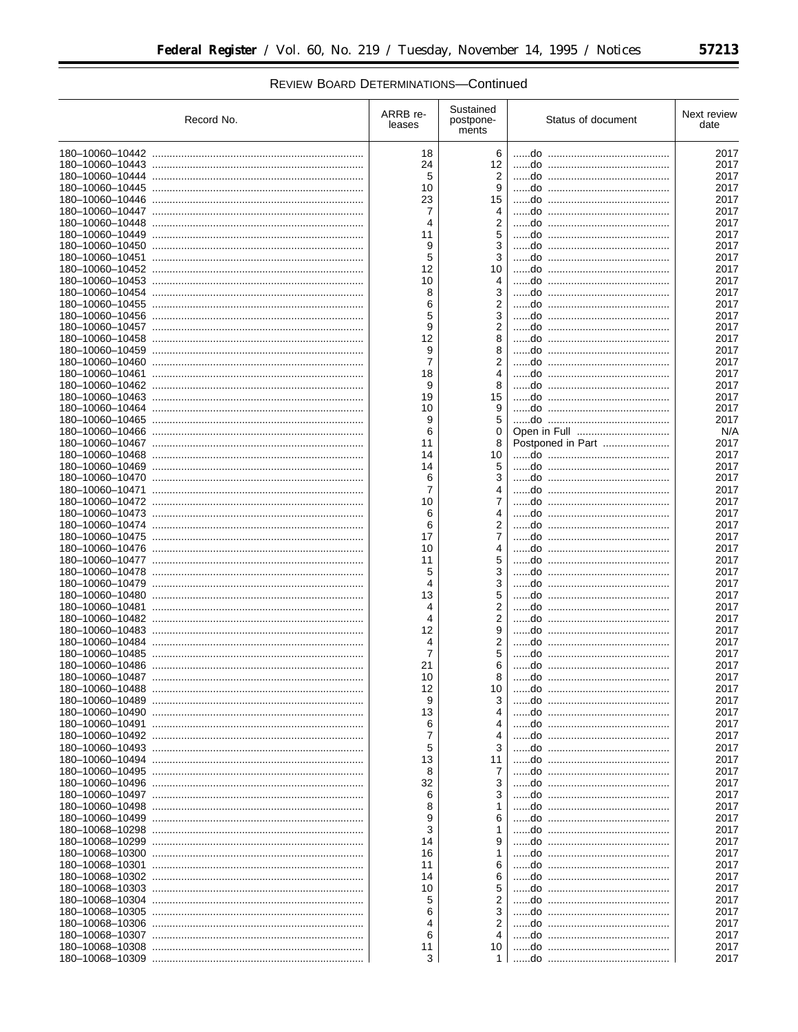| Record No. | ARRB re-<br>leases | Sustained<br>postpone-<br>ments  | Status of document | Next review<br>date |
|------------|--------------------|----------------------------------|--------------------|---------------------|
|            | 18                 | 6                                |                    | 2017                |
|            | 24                 | 12                               |                    | 2017                |
|            | 5                  | $\overline{2}$                   |                    | 2017                |
|            | 10                 | 9                                |                    | 2017                |
|            | 23                 | 15                               |                    | 2017                |
|            | 7                  | 4                                |                    | 2017                |
|            | 4                  | $\overline{2}$                   |                    | 2017                |
|            | 11                 | 5                                |                    | 2017                |
|            | 9                  | 3                                |                    | 2017                |
|            | 5<br>12            | 3<br>10                          |                    | 2017<br>2017        |
|            | 10                 | 4                                |                    | 2017                |
|            | 8                  | 3                                |                    | 2017                |
|            | 6                  | 2                                |                    | 2017                |
|            | 5                  |                                  |                    | 2017                |
|            | 9                  | $\overline{2}$                   |                    | 2017                |
|            | 12                 |                                  |                    | 2017                |
|            | 9                  | 8                                |                    | 2017                |
|            | 7                  |                                  |                    | 2017                |
|            | 18                 | 4                                |                    | 2017                |
|            | 9                  | 8                                |                    | 2017                |
|            | 19                 | 15                               |                    | 2017                |
|            | 10                 | 9<br>5                           |                    | 2017<br>2017        |
|            | 9<br>6             | 0                                |                    | N/A                 |
|            | 11                 | 8                                | Postponed in Part  | 2017                |
|            | 14                 | 10                               |                    | 2017                |
|            | 14                 | 5                                |                    | 2017                |
|            | 6                  | 3                                |                    | 2017                |
|            | 7                  | 4                                |                    | 2017                |
|            | 10                 | 7                                |                    | 2017                |
|            | 6                  | 4                                |                    | 2017                |
|            | 6                  | $\overline{2}$                   |                    | 2017                |
|            | 17                 | 7                                |                    | 2017                |
|            | 10                 | 4                                |                    | 2017                |
|            | 11                 | 5                                |                    | 2017                |
|            | 5                  | 3                                |                    | 2017                |
|            | 4                  | 3                                |                    | 2017                |
|            | 13                 | 5                                |                    | 2017                |
|            | 4<br>4             | $\overline{2}$<br>$\overline{2}$ |                    | 2017<br>2017        |
|            | 12                 | 9                                |                    | 2017                |
|            | 4                  | $\overline{2}$                   |                    | 2017                |
|            | 7                  | 5                                |                    | 2017                |
|            | 21                 | 6                                |                    | 2017                |
|            | 10                 | 8                                |                    | 2017                |
|            | 12                 | 10                               |                    | 2017                |
|            | 9                  | 3                                |                    | 2017                |
|            | 13                 |                                  |                    | 2017                |
|            | 6                  |                                  |                    | 2017                |
|            | 7                  |                                  |                    | 2017                |
|            | 5                  |                                  |                    | 2017                |
|            | 13                 | 11                               |                    | 2017                |
|            | 8                  | 7                                |                    | 2017                |
|            | 32<br>6            | 3<br>3                           |                    | 2017<br>2017        |
|            | 8                  |                                  |                    | 2017                |
|            | 9                  | 6                                |                    | 2017                |
|            | 3                  |                                  |                    | 2017                |
|            | 14                 | 9                                |                    | 2017                |
|            | 16                 |                                  |                    | 2017                |
|            | 11                 | 6                                |                    | 2017                |
|            | 14                 | 6                                |                    | 2017                |
|            | 10                 | 5                                |                    | 2017                |
|            | 5                  | 2                                |                    | 2017                |
|            | 6                  | 3                                |                    | 2017                |
|            | 4                  |                                  |                    | 2017                |
|            | 6                  |                                  |                    | 2017                |
|            | 11                 | 10                               |                    | 2017                |
|            | 3                  | 1 <sup>1</sup>                   |                    | 2017                |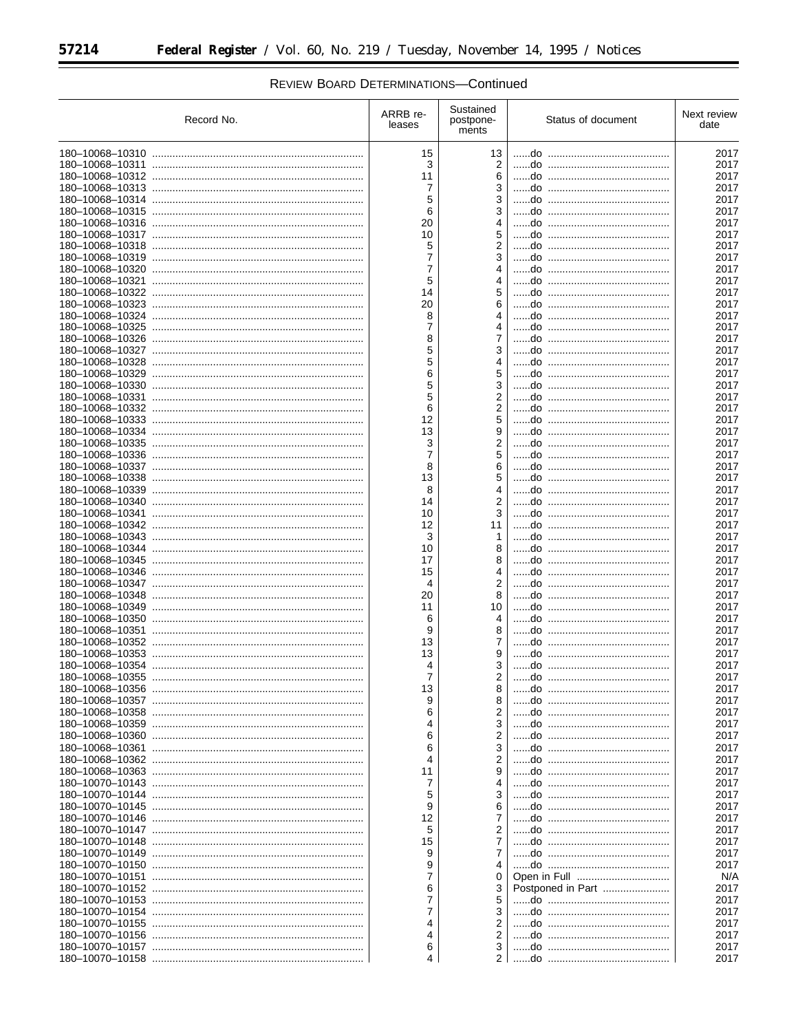| Record No. | ARRB re-<br>leases  | Sustained<br>postpone-<br>ments | Status of document | Next review<br>date |
|------------|---------------------|---------------------------------|--------------------|---------------------|
|            | 15                  | 13                              |                    | 2017                |
|            | 3                   | 2                               |                    | 2017                |
|            | 11                  | 6                               |                    | 2017                |
|            | 7                   | 3                               |                    | 2017                |
|            | 5                   | 3                               |                    | 2017                |
|            | 6                   | 3                               |                    | 2017                |
|            | 20                  |                                 |                    | 2017                |
|            | 10                  | 5                               |                    | 2017                |
|            | 5<br>$\overline{7}$ | 2<br>3                          |                    | 2017<br>2017        |
|            | $\overline{7}$      |                                 |                    | 2017                |
|            | 5                   | 4                               |                    | 2017                |
|            | 14                  |                                 |                    | 2017                |
|            | 20                  | 6                               |                    | 2017                |
|            | 8                   |                                 |                    | 2017                |
|            | 7                   | 4                               |                    | 2017                |
|            | 8                   | 7                               |                    | 2017                |
|            | 5                   | 3                               |                    | 2017                |
|            | 5                   |                                 |                    | 2017                |
|            | 6                   | 5                               |                    | 2017                |
|            | 5                   | 3                               |                    | 2017                |
|            | 5                   | 2                               |                    | 2017                |
|            | 6<br>12             | 2<br>5                          |                    | 2017<br>2017        |
|            | 13                  | 9                               |                    | 2017                |
|            | 3                   | 2                               |                    | 2017                |
|            | $\overline{7}$      | 5                               |                    | 2017                |
|            | 8                   | 6                               |                    | 2017                |
|            | 13                  | 5                               |                    | 2017                |
|            | 8                   | 4                               |                    | 2017                |
|            | 14                  | 2                               |                    | 2017                |
|            | 10                  | 3                               |                    | 2017                |
|            | 12                  | 11                              |                    | 2017                |
|            | 3                   | 1                               |                    | 2017                |
|            | 10                  | 8                               |                    | 2017                |
|            | 17                  | 8                               |                    | 2017                |
|            | 15<br>4             | 4<br>2                          |                    | 2017<br>2017        |
|            | 20                  | 8                               |                    | 2017                |
|            | 11                  | 10                              |                    | 2017                |
|            | 6                   | 4                               |                    | 2017                |
|            | 9                   | 8                               |                    | 2017                |
|            | 13                  | 7                               |                    | 2017                |
|            | 13                  |                                 |                    | 2017                |
|            | 4                   | 3                               |                    | 2017                |
|            | 7                   | 2                               |                    | 2017                |
|            | 13                  |                                 |                    | 2017                |
|            | 9                   | 8                               |                    | 2017                |
|            | 6                   | 2                               |                    | 2017                |
|            | 4                   | 3                               |                    | 2017                |
|            | 6<br>6              | 2<br>3                          |                    | 2017<br>2017        |
|            | 4                   | 2                               |                    | 2017                |
|            | 11                  |                                 |                    | 2017                |
|            | 7                   |                                 |                    | 2017                |
|            | 5                   | 3                               |                    | 2017                |
|            | 9                   |                                 |                    | 2017                |
|            | 12                  | 7                               |                    | 2017                |
|            | 5                   | 2                               |                    | 2017                |
|            | 15                  | 7                               |                    | 2017                |
|            | 9                   | 7                               |                    | 2017                |
|            | 9                   |                                 |                    | 2017                |
|            | 7                   | 0                               |                    | N/A                 |
|            | 6                   | 3                               | Postponed in Part  | 2017                |
|            | 7<br>7              | 5                               |                    | 2017                |
|            | 4                   | 3<br>2                          |                    | 2017<br>2017        |
|            | 4                   | 2                               |                    | 2017                |
|            | 6                   | 3                               |                    | 2017                |
|            | 4                   | ا 2                             |                    | 2017                |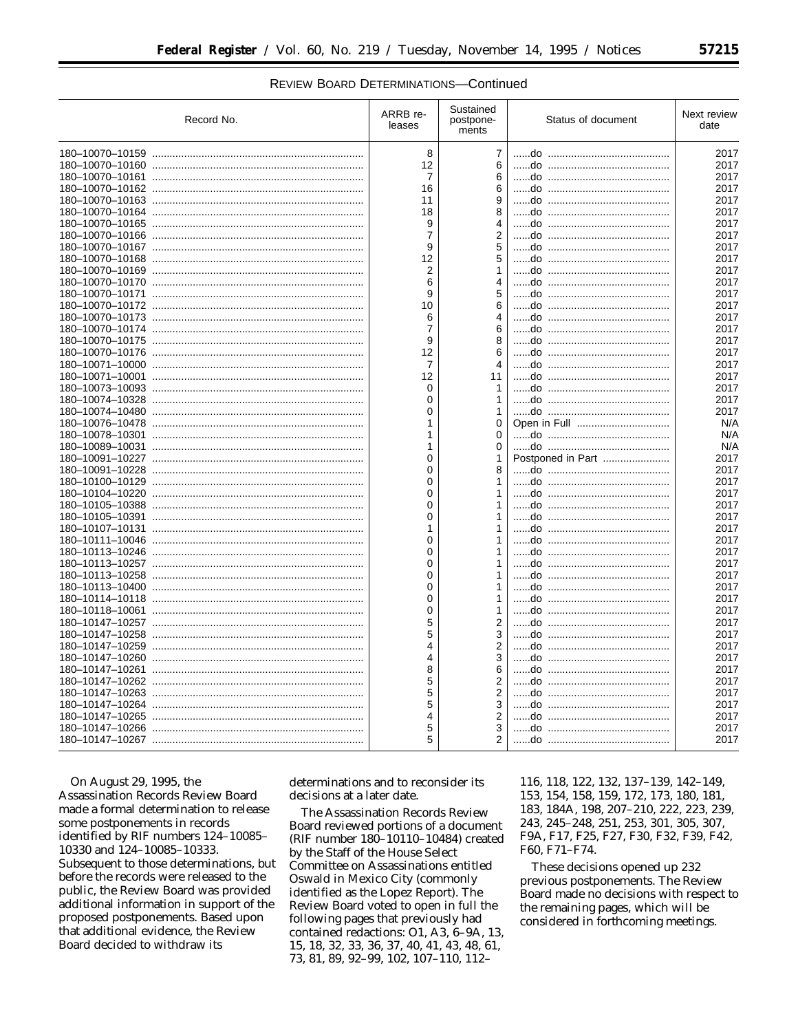| Record No. | ARRB re-<br>leases | Sustained<br>postpone-<br>ments | Status of document | Next review<br>date |
|------------|--------------------|---------------------------------|--------------------|---------------------|
|            | 8                  | $\overline{7}$                  |                    | 2017                |
|            | 12                 | 6                               |                    | 2017                |
|            | $\overline{7}$     | 6                               |                    | 2017                |
|            | 16                 | 6                               |                    | 2017                |
|            | 11                 | 9                               |                    | 2017                |
|            | 18                 | 8                               |                    | 2017                |
|            | 9                  | 4                               |                    | 2017                |
|            | $\overline{7}$     | $\overline{2}$                  |                    | 2017                |
|            | 9                  | 5                               |                    | 2017                |
|            | 12                 | 5                               |                    | 2017                |
|            | $\overline{2}$     | 1                               |                    | 2017                |
|            | 6                  | 4                               |                    | 2017                |
|            | 9                  | 5                               |                    | 2017                |
|            | 10                 |                                 |                    | 2017                |
|            | 6                  | 4                               |                    | 2017                |
|            | 7                  | 6                               |                    | 2017                |
|            | 9                  | 8                               |                    | 2017                |
|            | 12                 | 6                               |                    | 2017                |
|            | $\overline{7}$     | 4                               |                    | 2017                |
|            | 12                 | 11                              |                    | 2017                |
|            | 0                  | 1                               |                    | 2017                |
|            | $\Omega$           | 1                               |                    | 2017                |
|            | 0                  | 1                               |                    | 2017                |
|            | 1                  | 0                               |                    | N/A                 |
|            | 1                  | 0                               |                    | N/A                 |
|            | 1                  | 0                               |                    | N/A                 |
|            | $\Omega$           | 1                               | Postponed in Part  | 2017                |
|            | $\Omega$           | 8                               |                    | 2017                |
|            | $\Omega$           |                                 |                    | 2017                |
|            | $\Omega$           | 1                               |                    | 2017                |
|            | $\Omega$           | 1                               |                    | 2017                |
|            | $\Omega$           | 1                               |                    | 2017                |
|            | 1                  | 1                               |                    | 2017                |
|            | 0                  | 1                               |                    | 2017                |
|            | 0                  | 1                               |                    | 2017                |
|            | $\Omega$           | 1                               |                    | 2017                |
|            | $\Omega$           | 1                               |                    | 2017                |
|            | 0                  | 1                               |                    | 2017                |
|            | $\Omega$           | 1                               |                    | 2017                |
|            | 0                  | 1                               |                    | 2017                |
|            | 5                  | $\overline{2}$                  |                    | 2017                |
|            | 5                  | 3                               |                    | 2017                |
|            | 4                  | $\overline{2}$                  |                    | 2017                |
|            | 4                  | 3                               |                    | 2017                |
|            | 8                  | 6                               |                    | 2017                |
|            | 5                  | $\overline{2}$                  |                    | 2017                |
|            | 5                  | $\overline{2}$                  |                    | 2017                |
|            | 5                  | 3                               |                    | 2017                |
|            | 4                  | $\overline{2}$                  |                    | 2017                |
|            | 5                  | 3                               |                    | 2017                |
|            | 5                  | $\overline{2}$                  |                    | 2017                |
|            |                    |                                 |                    |                     |

On August 29, 1995, the Assassination Records Review Board made a formal determination to release some postponements in records identified by RIF numbers 124-10085-10330 and 124-10085-10333. Subsequent to those determinations, but before the records were released to the public, the Review Board was provided additional information in support of the proposed postponements. Based upon that additional evidence, the Review Board decided to withdraw its

determinations and to reconsider its decisions at a later date.

The Assassination Records Review Board reviewed portions of a document (RIF number 180-10110-10484) created by the Staff of the House Select Committee on Assassinations entitled Oswald in Mexico City (commonly identified as the Lopez Report). The Review Board voted to open in full the following pages that previously had contained redactions: O1, A3, 6-9A, 13, 15, 18, 32, 33, 36, 37, 40, 41, 43, 48, 61, 73, 81, 89, 92-99, 102, 107-110, 112-

116, 118, 122, 132, 137-139, 142-149, 153, 154, 158, 159, 172, 173, 180, 181, 183, 184A, 198, 207-210, 222, 223, 239, 243, 245-248, 251, 253, 301, 305, 307, F9A, F17, F25, F27, F30, F32, F39, F42, F60, F71-F74.

These decisions opened up 232 previous postponements. The Review Board made no decisions with respect to the remaining pages, which will be considered in forthcoming meetings.